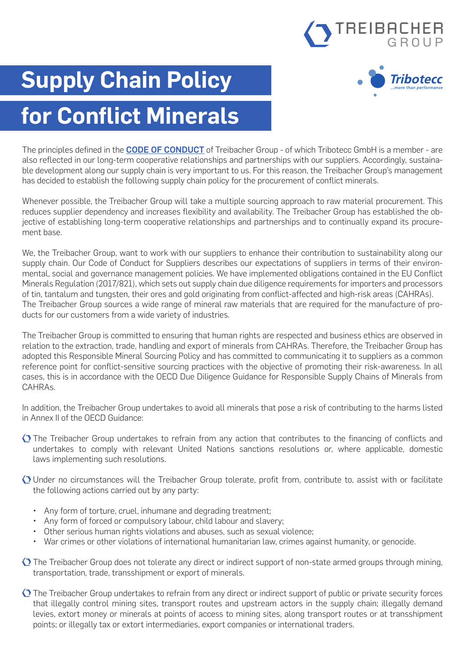# TREIBACHER



## **Supply Chain Policy**

### **for Conflict Minerals**

The principles defined in the **[CODE OF CONDUCT](https://www.tribotecc.com/app/uploads/2022/05/treibacher-group-code-of-conduct-v02-2022.pdf)** of Treibacher Group - of which Tribotecc GmbH is a member - are also reflected in our long-term cooperative relationships and partnerships with our suppliers. Accordingly, sustainable development along our supply chain is very important to us. For this reason, the Treibacher Group's management has decided to establish the following supply chain policy for the procurement of conflict minerals.

Whenever possible, the Treibacher Group will take a multiple sourcing approach to raw material procurement. This reduces supplier dependency and increases flexibility and availability. The Treibacher Group has established the objective of establishing long-term cooperative relationships and partnerships and to continually expand its procurement base.

We, the Treibacher Group, want to work with our suppliers to enhance their contribution to sustainability along our supply chain. Our Code of Conduct for Suppliers describes our expectations of suppliers in terms of their environmental, social and governance management policies. We have implemented obligations contained in the EU Conflict Minerals Regulation (2017/821), which sets out supply chain due diligence requirements for importers and processors of tin, tantalum and tungsten, their ores and gold originating from conflict-affected and high-risk areas (CAHRAs). The Treibacher Group sources a wide range of mineral raw materials that are required for the manufacture of products for our customers from a wide variety of industries.

The Treibacher Group is committed to ensuring that human rights are respected and business ethics are observed in relation to the extraction, trade, handling and export of minerals from CAHRAs. Therefore, the Treibacher Group has adopted this Responsible Mineral Sourcing Policy and has committed to communicating it to suppliers as a common reference point for conflict-sensitive sourcing practices with the objective of promoting their risk-awareness. In all cases, this is in accordance with the OECD Due Diligence Guidance for Responsible Supply Chains of Minerals from CAHRAs.

In addition, the Treibacher Group undertakes to avoid all minerals that pose a risk of contributing to the harms listed in Annex II of the OECD Guidance:

- The Treibacher Group undertakes to refrain from any action that contributes to the financing of conflicts and undertakes to comply with relevant United Nations sanctions resolutions or, where applicable, domestic laws implementing such resolutions.
- Under no circumstances will the Treibacher Group tolerate, profit from, contribute to, assist with or facilitate the following actions carried out by any party:
	- Any form of torture, cruel, inhumane and degrading treatment;
	- Any form of forced or compulsory labour, child labour and slavery;
	- Other serious human rights violations and abuses, such as sexual violence;
	- War crimes or other violations of international humanitarian law, crimes against humanity, or genocide.
- $\Diamond$  The Treibacher Group does not tolerate any direct or indirect support of non-state armed groups through mining, transportation, trade, transshipment or export of minerals.
- $\Diamond$  The Treibacher Group undertakes to refrain from any direct or indirect support of public or private security forces that illegally control mining sites, transport routes and upstream actors in the supply chain; illegally demand levies, extort money or minerals at points of access to mining sites, along transport routes or at transshipment points; or illegally tax or extort intermediaries, export companies or international traders.